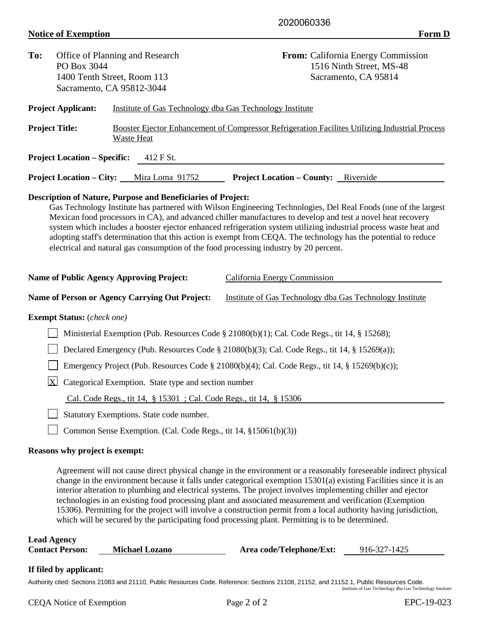## **Notice of Exemption** Form D

| To:                                                                                                                                                                                                                                                                                                                                                                                                                                                                                                                                                                                                                                    | PO Box 3044                                                         | Office of Planning and Research<br>1400 Tenth Street, Room 113<br>Sacramento, CA 95812-3044       |                                             | <b>From:</b> California Energy Commission<br>1516 Ninth Street, MS-48<br>Sacramento, CA 95814                                                                                                                                                                                                                                                                                                                                                                                                                                                                                            |  |  |  |
|----------------------------------------------------------------------------------------------------------------------------------------------------------------------------------------------------------------------------------------------------------------------------------------------------------------------------------------------------------------------------------------------------------------------------------------------------------------------------------------------------------------------------------------------------------------------------------------------------------------------------------------|---------------------------------------------------------------------|---------------------------------------------------------------------------------------------------|---------------------------------------------|------------------------------------------------------------------------------------------------------------------------------------------------------------------------------------------------------------------------------------------------------------------------------------------------------------------------------------------------------------------------------------------------------------------------------------------------------------------------------------------------------------------------------------------------------------------------------------------|--|--|--|
|                                                                                                                                                                                                                                                                                                                                                                                                                                                                                                                                                                                                                                        | <b>Project Applicant:</b>                                           | Institute of Gas Technology dba Gas Technology Institute                                          |                                             |                                                                                                                                                                                                                                                                                                                                                                                                                                                                                                                                                                                          |  |  |  |
| <b>Project Title:</b>                                                                                                                                                                                                                                                                                                                                                                                                                                                                                                                                                                                                                  |                                                                     | Booster Ejector Enhancement of Compressor Refrigeration Facilities Utilizing Industrial Process   |                                             |                                                                                                                                                                                                                                                                                                                                                                                                                                                                                                                                                                                          |  |  |  |
|                                                                                                                                                                                                                                                                                                                                                                                                                                                                                                                                                                                                                                        |                                                                     | <b>Waste Heat</b>                                                                                 |                                             |                                                                                                                                                                                                                                                                                                                                                                                                                                                                                                                                                                                          |  |  |  |
|                                                                                                                                                                                                                                                                                                                                                                                                                                                                                                                                                                                                                                        | <b>Project Location – Specific:</b>                                 | 412 F St.                                                                                         |                                             |                                                                                                                                                                                                                                                                                                                                                                                                                                                                                                                                                                                          |  |  |  |
|                                                                                                                                                                                                                                                                                                                                                                                                                                                                                                                                                                                                                                        | <b>Project Location – City:</b>                                     | Mira Loma 91752                                                                                   | <b>Project Location – County:</b> Riverside |                                                                                                                                                                                                                                                                                                                                                                                                                                                                                                                                                                                          |  |  |  |
| <b>Description of Nature, Purpose and Beneficiaries of Project:</b><br>Gas Technology Institute has partnered with Wilson Engineering Technologies, Del Real Foods (one of the largest<br>Mexican food processors in CA), and advanced chiller manufactures to develop and test a novel heat recovery<br>system which includes a booster ejector enhanced refrigeration system utilizing industrial process waste heat and<br>adopting staff's determination that this action is exempt from CEQA. The technology has the potential to reduce<br>electrical and natural gas consumption of the food processing industry by 20 percent. |                                                                     |                                                                                                   |                                             |                                                                                                                                                                                                                                                                                                                                                                                                                                                                                                                                                                                          |  |  |  |
|                                                                                                                                                                                                                                                                                                                                                                                                                                                                                                                                                                                                                                        |                                                                     | <b>Name of Public Agency Approving Project:</b>                                                   | California Energy Commission                |                                                                                                                                                                                                                                                                                                                                                                                                                                                                                                                                                                                          |  |  |  |
|                                                                                                                                                                                                                                                                                                                                                                                                                                                                                                                                                                                                                                        |                                                                     | <b>Name of Person or Agency Carrying Out Project:</b>                                             |                                             | Institute of Gas Technology dba Gas Technology Institute                                                                                                                                                                                                                                                                                                                                                                                                                                                                                                                                 |  |  |  |
|                                                                                                                                                                                                                                                                                                                                                                                                                                                                                                                                                                                                                                        | <b>Exempt Status:</b> (check one)                                   |                                                                                                   |                                             |                                                                                                                                                                                                                                                                                                                                                                                                                                                                                                                                                                                          |  |  |  |
| Ministerial Exemption (Pub. Resources Code § 21080(b)(1); Cal. Code Regs., tit 14, § 15268);                                                                                                                                                                                                                                                                                                                                                                                                                                                                                                                                           |                                                                     |                                                                                                   |                                             |                                                                                                                                                                                                                                                                                                                                                                                                                                                                                                                                                                                          |  |  |  |
|                                                                                                                                                                                                                                                                                                                                                                                                                                                                                                                                                                                                                                        |                                                                     | Declared Emergency (Pub. Resources Code § 21080(b)(3); Cal. Code Regs., tit 14, § 15269(a));      |                                             |                                                                                                                                                                                                                                                                                                                                                                                                                                                                                                                                                                                          |  |  |  |
|                                                                                                                                                                                                                                                                                                                                                                                                                                                                                                                                                                                                                                        |                                                                     | Emergency Project (Pub. Resources Code § 21080(b)(4); Cal. Code Regs., tit 14, § 15269(b)(c));    |                                             |                                                                                                                                                                                                                                                                                                                                                                                                                                                                                                                                                                                          |  |  |  |
|                                                                                                                                                                                                                                                                                                                                                                                                                                                                                                                                                                                                                                        | X<br>Categorical Exemption. State type and section number           |                                                                                                   |                                             |                                                                                                                                                                                                                                                                                                                                                                                                                                                                                                                                                                                          |  |  |  |
|                                                                                                                                                                                                                                                                                                                                                                                                                                                                                                                                                                                                                                        | Cal. Code Regs., tit 14, § 15301 ; Cal. Code Regs., tit 14, § 15306 |                                                                                                   |                                             |                                                                                                                                                                                                                                                                                                                                                                                                                                                                                                                                                                                          |  |  |  |
|                                                                                                                                                                                                                                                                                                                                                                                                                                                                                                                                                                                                                                        | Statutory Exemptions. State code number.                            |                                                                                                   |                                             |                                                                                                                                                                                                                                                                                                                                                                                                                                                                                                                                                                                          |  |  |  |
|                                                                                                                                                                                                                                                                                                                                                                                                                                                                                                                                                                                                                                        | Common Sense Exemption. (Cal. Code Regs., tit 14, §15061(b)(3))     |                                                                                                   |                                             |                                                                                                                                                                                                                                                                                                                                                                                                                                                                                                                                                                                          |  |  |  |
| Reasons why project is exempt:                                                                                                                                                                                                                                                                                                                                                                                                                                                                                                                                                                                                         |                                                                     |                                                                                                   |                                             |                                                                                                                                                                                                                                                                                                                                                                                                                                                                                                                                                                                          |  |  |  |
|                                                                                                                                                                                                                                                                                                                                                                                                                                                                                                                                                                                                                                        |                                                                     | which will be secured by the participating food processing plant. Permitting is to be determined. |                                             | Agreement will not cause direct physical change in the environment or a reasonably foreseeable indirect physical<br>change in the environment because it falls under categorical exemption 15301(a) existing Facilities since it is an<br>interior alteration to plumbing and electrical systems. The project involves implementing chiller and ejector<br>technologies in an existing food processing plant and associated measurement and verification (Exemption<br>15306). Permitting for the project will involve a construction permit from a local authority having jurisdiction, |  |  |  |
| <b>Lead Agency</b><br><b>Contact Person:</b><br><b>Michael Lozano</b><br>Area code/Telephone/Ext:<br>916-327-1425                                                                                                                                                                                                                                                                                                                                                                                                                                                                                                                      |                                                                     |                                                                                                   |                                             |                                                                                                                                                                                                                                                                                                                                                                                                                                                                                                                                                                                          |  |  |  |

## **If filed by applicant:**

Authority cited: Sections 21083 and 21110, Public Resources Code. Reference: Sections 21108, 21152, and 21152.1, Public Resources Code.<br>Institute of Gas Technology dba Gas Technology Institute